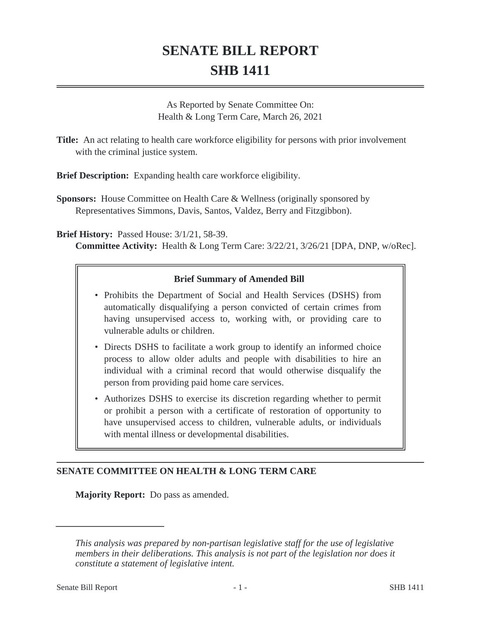# **SENATE BILL REPORT SHB 1411**

As Reported by Senate Committee On: Health & Long Term Care, March 26, 2021

**Title:** An act relating to health care workforce eligibility for persons with prior involvement with the criminal justice system.

**Brief Description:** Expanding health care workforce eligibility.

**Sponsors:** House Committee on Health Care & Wellness (originally sponsored by Representatives Simmons, Davis, Santos, Valdez, Berry and Fitzgibbon).

**Brief History:** Passed House: 3/1/21, 58-39. **Committee Activity:** Health & Long Term Care: 3/22/21, 3/26/21 [DPA, DNP, w/oRec].

# **Brief Summary of Amended Bill**

- Prohibits the Department of Social and Health Services (DSHS) from automatically disqualifying a person convicted of certain crimes from having unsupervised access to, working with, or providing care to vulnerable adults or children.
- Directs DSHS to facilitate a work group to identify an informed choice process to allow older adults and people with disabilities to hire an individual with a criminal record that would otherwise disqualify the person from providing paid home care services.
- Authorizes DSHS to exercise its discretion regarding whether to permit or prohibit a person with a certificate of restoration of opportunity to have unsupervised access to children, vulnerable adults, or individuals with mental illness or developmental disabilities.

## **SENATE COMMITTEE ON HEALTH & LONG TERM CARE**

**Majority Report:** Do pass as amended.

*This analysis was prepared by non-partisan legislative staff for the use of legislative members in their deliberations. This analysis is not part of the legislation nor does it constitute a statement of legislative intent.*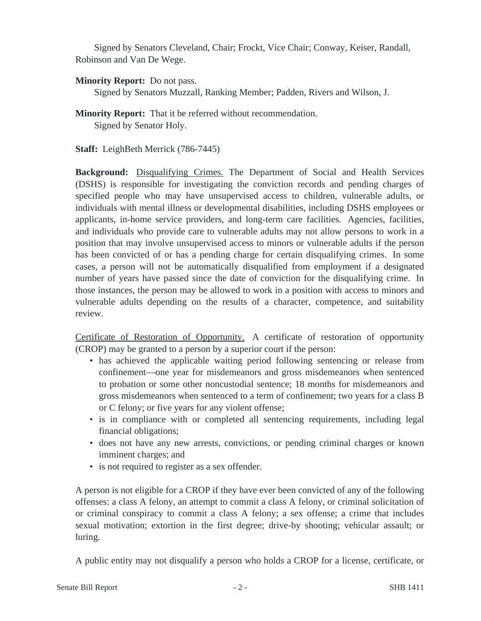Signed by Senators Cleveland, Chair; Frockt, Vice Chair; Conway, Keiser, Randall, Robinson and Van De Wege.

## **Minority Report:** Do not pass.

Signed by Senators Muzzall, Ranking Member; Padden, Rivers and Wilson, J.

## **Minority Report:** That it be referred without recommendation. Signed by Senator Holy.

**Staff:** LeighBeth Merrick (786-7445)

**Background:** Disqualifying Crimes. The Department of Social and Health Services (DSHS) is responsible for investigating the conviction records and pending charges of specified people who may have unsupervised access to children, vulnerable adults, or individuals with mental illness or developmental disabilities, including DSHS employees or applicants, in-home service providers, and long-term care facilities. Agencies, facilities, and individuals who provide care to vulnerable adults may not allow persons to work in a position that may involve unsupervised access to minors or vulnerable adults if the person has been convicted of or has a pending charge for certain disqualifying crimes. In some cases, a person will not be automatically disqualified from employment if a designated number of years have passed since the date of conviction for the disqualifying crime. In those instances, the person may be allowed to work in a position with access to minors and vulnerable adults depending on the results of a character, competence, and suitability review.

Certificate of Restoration of Opportunity. A certificate of restoration of opportunity (CROP) may be granted to a person by a superior court if the person:

- has achieved the applicable waiting period following sentencing or release from confinement—one year for misdemeanors and gross misdemeanors when sentenced to probation or some other noncustodial sentence; 18 months for misdemeanors and gross misdemeanors when sentenced to a term of confinement; two years for a class B or C felony; or five years for any violent offense;
- is in compliance with or completed all sentencing requirements, including legal financial obligations;
- does not have any new arrests, convictions, or pending criminal charges or known imminent charges; and
- is not required to register as a sex offender.

A person is not eligible for a CROP if they have ever been convicted of any of the following offenses: a class A felony, an attempt to commit a class A felony, or criminal solicitation of or criminal conspiracy to commit a class A felony; a sex offense; a crime that includes sexual motivation; extortion in the first degree; drive-by shooting; vehicular assault; or luring.

A public entity may not disqualify a person who holds a CROP for a license, certificate, or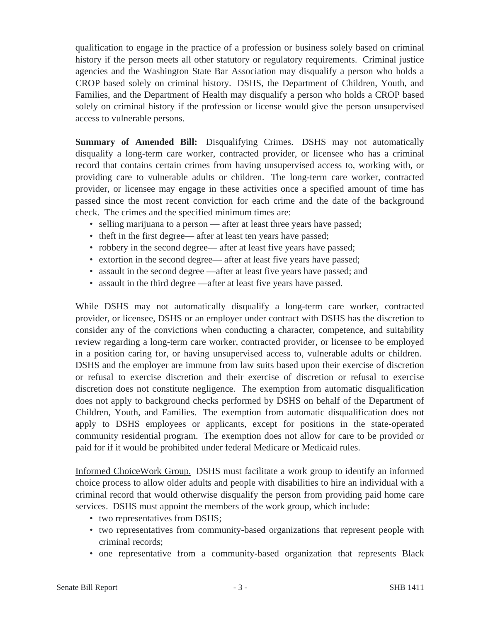qualification to engage in the practice of a profession or business solely based on criminal history if the person meets all other statutory or regulatory requirements. Criminal justice agencies and the Washington State Bar Association may disqualify a person who holds a CROP based solely on criminal history. DSHS, the Department of Children, Youth, and Families, and the Department of Health may disqualify a person who holds a CROP based solely on criminal history if the profession or license would give the person unsupervised access to vulnerable persons.

**Summary of Amended Bill:** Disqualifying Crimes. DSHS may not automatically disqualify a long-term care worker, contracted provider, or licensee who has a criminal record that contains certain crimes from having unsupervised access to, working with, or providing care to vulnerable adults or children. The long-term care worker, contracted provider, or licensee may engage in these activities once a specified amount of time has passed since the most recent conviction for each crime and the date of the background check. The crimes and the specified minimum times are:

- selling marijuana to a person after at least three years have passed;
- theft in the first degree— after at least ten years have passed;
- robbery in the second degree— after at least five years have passed;
- extortion in the second degree— after at least five years have passed;
- assault in the second degree —after at least five years have passed; and
- assault in the third degree —after at least five years have passed.

While DSHS may not automatically disqualify a long-term care worker, contracted provider, or licensee, DSHS or an employer under contract with DSHS has the discretion to consider any of the convictions when conducting a character, competence, and suitability review regarding a long-term care worker, contracted provider, or licensee to be employed in a position caring for, or having unsupervised access to, vulnerable adults or children. DSHS and the employer are immune from law suits based upon their exercise of discretion or refusal to exercise discretion and their exercise of discretion or refusal to exercise discretion does not constitute negligence. The exemption from automatic disqualification does not apply to background checks performed by DSHS on behalf of the Department of Children, Youth, and Families. The exemption from automatic disqualification does not apply to DSHS employees or applicants, except for positions in the state-operated community residential program. The exemption does not allow for care to be provided or paid for if it would be prohibited under federal Medicare or Medicaid rules.

Informed ChoiceWork Group. DSHS must facilitate a work group to identify an informed choice process to allow older adults and people with disabilities to hire an individual with a criminal record that would otherwise disqualify the person from providing paid home care services. DSHS must appoint the members of the work group, which include:

- two representatives from DSHS;
- two representatives from community-based organizations that represent people with criminal records;
- one representative from a community-based organization that represents Black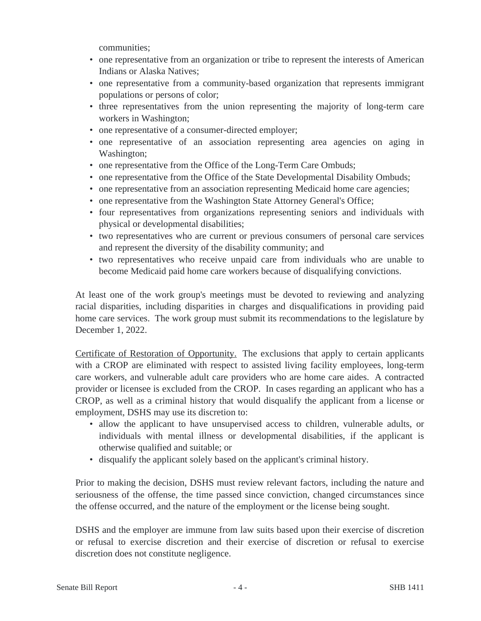communities;

- one representative from an organization or tribe to represent the interests of American Indians or Alaska Natives;
- one representative from a community-based organization that represents immigrant populations or persons of color;
- three representatives from the union representing the majority of long-term care workers in Washington;
- one representative of a consumer-directed employer;
- one representative of an association representing area agencies on aging in Washington;
- one representative from the Office of the Long-Term Care Ombuds;
- one representative from the Office of the State Developmental Disability Ombuds;
- one representative from an association representing Medicaid home care agencies;
- one representative from the Washington State Attorney General's Office;
- four representatives from organizations representing seniors and individuals with physical or developmental disabilities;
- two representatives who are current or previous consumers of personal care services and represent the diversity of the disability community; and
- two representatives who receive unpaid care from individuals who are unable to become Medicaid paid home care workers because of disqualifying convictions.

At least one of the work group's meetings must be devoted to reviewing and analyzing racial disparities, including disparities in charges and disqualifications in providing paid home care services. The work group must submit its recommendations to the legislature by December 1, 2022.

Certificate of Restoration of Opportunity. The exclusions that apply to certain applicants with a CROP are eliminated with respect to assisted living facility employees, long-term care workers, and vulnerable adult care providers who are home care aides. A contracted provider or licensee is excluded from the CROP. In cases regarding an applicant who has a CROP, as well as a criminal history that would disqualify the applicant from a license or employment, DSHS may use its discretion to:

- allow the applicant to have unsupervised access to children, vulnerable adults, or individuals with mental illness or developmental disabilities, if the applicant is otherwise qualified and suitable; or
- disqualify the applicant solely based on the applicant's criminal history.

Prior to making the decision, DSHS must review relevant factors, including the nature and seriousness of the offense, the time passed since conviction, changed circumstances since the offense occurred, and the nature of the employment or the license being sought.

DSHS and the employer are immune from law suits based upon their exercise of discretion or refusal to exercise discretion and their exercise of discretion or refusal to exercise discretion does not constitute negligence.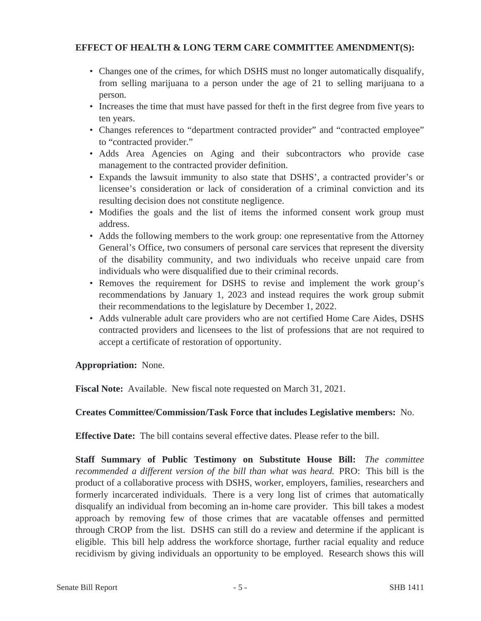# **EFFECT OF HEALTH & LONG TERM CARE COMMITTEE AMENDMENT(S):**

- Changes one of the crimes, for which DSHS must no longer automatically disqualify, from selling marijuana to a person under the age of 21 to selling marijuana to a person.
- Increases the time that must have passed for theft in the first degree from five years to ten years.
- Changes references to "department contracted provider" and "contracted employee" to "contracted provider."
- Adds Area Agencies on Aging and their subcontractors who provide case management to the contracted provider definition.
- Expands the lawsuit immunity to also state that DSHS', a contracted provider's or licensee's consideration or lack of consideration of a criminal conviction and its resulting decision does not constitute negligence.
- Modifies the goals and the list of items the informed consent work group must address.
- Adds the following members to the work group: one representative from the Attorney General's Office, two consumers of personal care services that represent the diversity of the disability community, and two individuals who receive unpaid care from individuals who were disqualified due to their criminal records.
- Removes the requirement for DSHS to revise and implement the work group's recommendations by January 1, 2023 and instead requires the work group submit their recommendations to the legislature by December 1, 2022.
- Adds vulnerable adult care providers who are not certified Home Care Aides, DSHS contracted providers and licensees to the list of professions that are not required to accept a certificate of restoration of opportunity.

## **Appropriation:** None.

**Fiscal Note:** Available. New fiscal note requested on March 31, 2021.

## **Creates Committee/Commission/Task Force that includes Legislative members:** No.

**Effective Date:** The bill contains several effective dates. Please refer to the bill.

**Staff Summary of Public Testimony on Substitute House Bill:** *The committee recommended a different version of the bill than what was heard.* PRO: This bill is the product of a collaborative process with DSHS, worker, employers, families, researchers and formerly incarcerated individuals. There is a very long list of crimes that automatically disqualify an individual from becoming an in-home care provider. This bill takes a modest approach by removing few of those crimes that are vacatable offenses and permitted through CROP from the list. DSHS can still do a review and determine if the applicant is eligible. This bill help address the workforce shortage, further racial equality and reduce recidivism by giving individuals an opportunity to be employed. Research shows this will